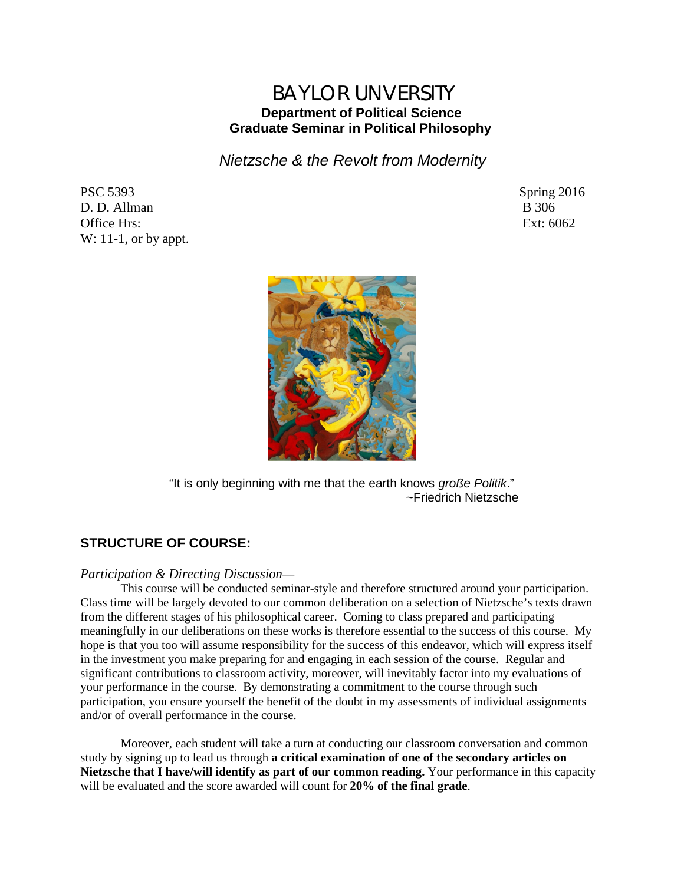# BAYLOR UNVERSITY **Department of Political Science Graduate Seminar in Political Philosophy**

*Nietzsche & the Revolt from Modernity* 

PSC 5393 Spring 2016 D. D. Allman B 306 Office Hrs: Ext: 6062 W: 11-1, or by appt.



"It is only beginning with me that the earth knows *große Politik*." ~Friedrich Nietzsche

## **STRUCTURE OF COURSE:**

## *Participation & Directing Discussion—*

This course will be conducted seminar-style and therefore structured around your participation. Class time will be largely devoted to our common deliberation on a selection of Nietzsche's texts drawn from the different stages of his philosophical career. Coming to class prepared and participating meaningfully in our deliberations on these works is therefore essential to the success of this course. My hope is that you too will assume responsibility for the success of this endeavor, which will express itself in the investment you make preparing for and engaging in each session of the course. Regular and significant contributions to classroom activity, moreover, will inevitably factor into my evaluations of your performance in the course. By demonstrating a commitment to the course through such participation, you ensure yourself the benefit of the doubt in my assessments of individual assignments and/or of overall performance in the course.

Moreover, each student will take a turn at conducting our classroom conversation and common study by signing up to lead us through **a critical examination of one of the secondary articles on Nietzsche that I have/will identify as part of our common reading.** Your performance in this capacity will be evaluated and the score awarded will count for **20% of the final grade**.